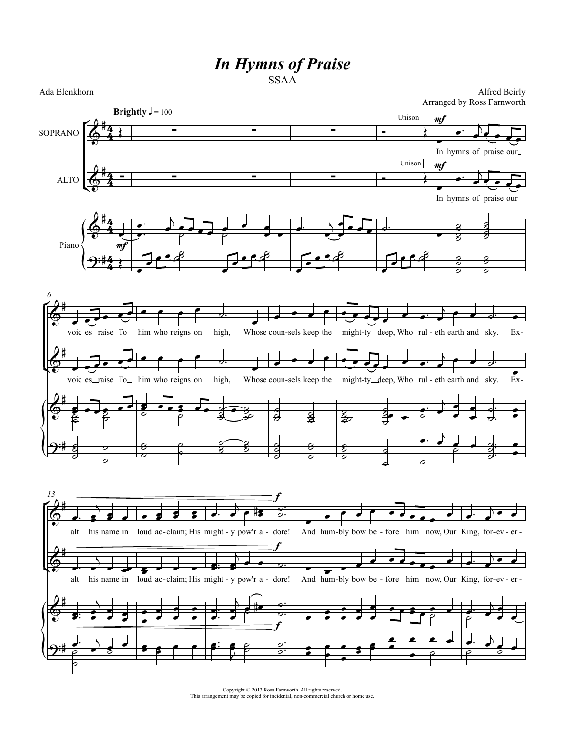## *In Hymns of Praise* SSAA

Ada Blenkhorn

Alfred Beirly Arranged by Ross Farnworth



Copyright © 2013 Ross Farnworth. All rights reserved. This arrangement may be copied for incidental, non-commercial church or home use.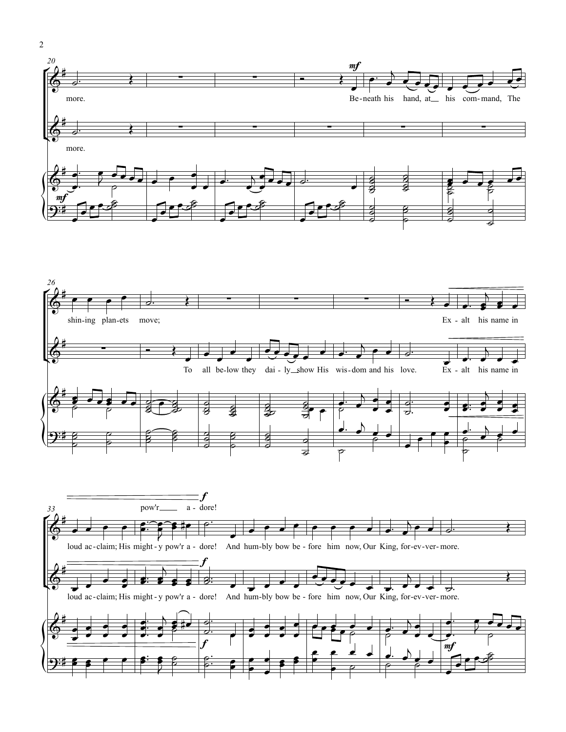

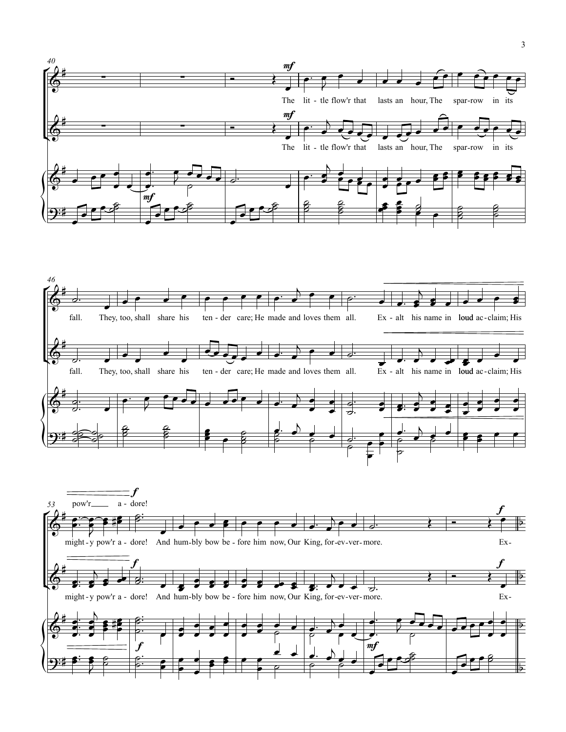

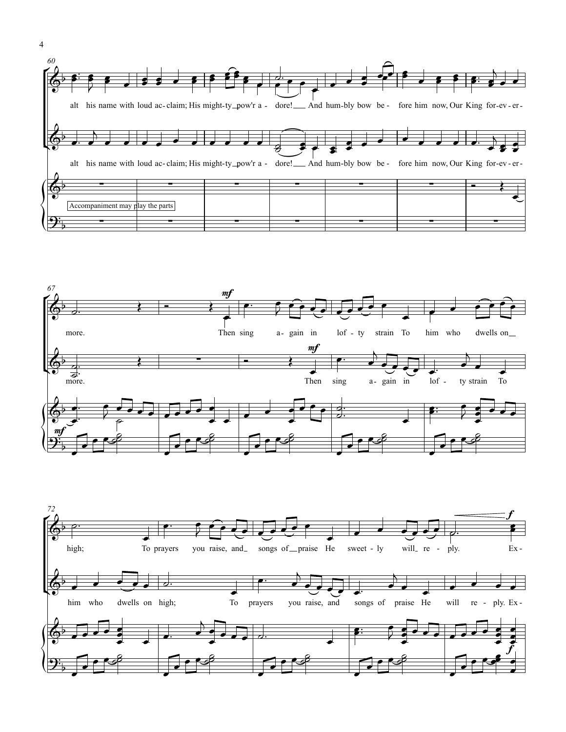





4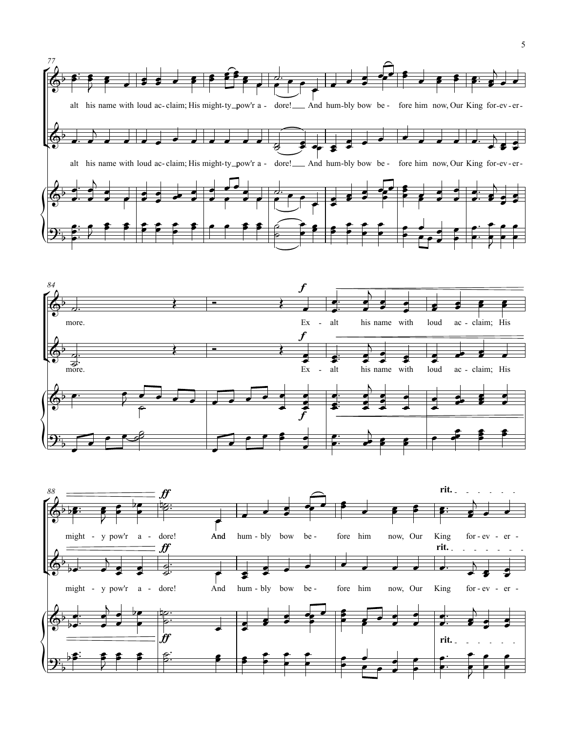